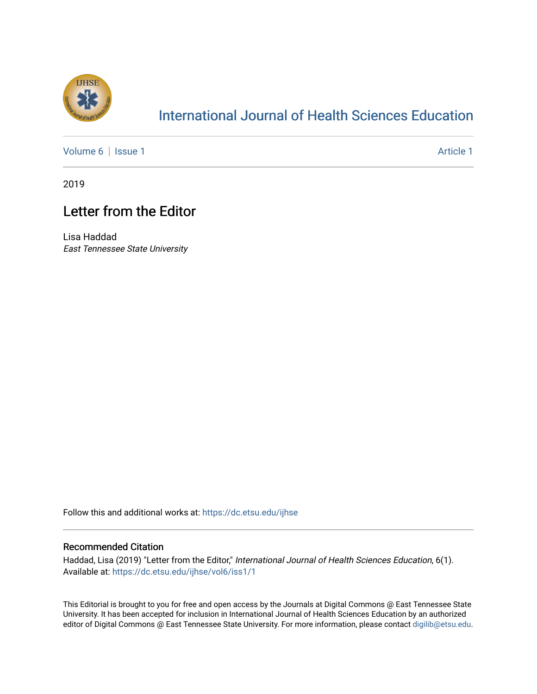

## [International Journal of Health Sciences Education](https://dc.etsu.edu/ijhse)

[Volume 6](https://dc.etsu.edu/ijhse/vol6) | [Issue 1](https://dc.etsu.edu/ijhse/vol6/iss1) Article 1

2019

## Letter from the Editor

Lisa Haddad East Tennessee State University

Follow this and additional works at: [https://dc.etsu.edu/ijhse](https://dc.etsu.edu/ijhse?utm_source=dc.etsu.edu%2Fijhse%2Fvol6%2Fiss1%2F1&utm_medium=PDF&utm_campaign=PDFCoverPages) 

## Recommended Citation

Haddad, Lisa (2019) "Letter from the Editor," International Journal of Health Sciences Education, 6(1). Available at: [https://dc.etsu.edu/ijhse/vol6/iss1/1](https://dc.etsu.edu/ijhse/vol6/iss1/1?utm_source=dc.etsu.edu%2Fijhse%2Fvol6%2Fiss1%2F1&utm_medium=PDF&utm_campaign=PDFCoverPages)

This Editorial is brought to you for free and open access by the Journals at Digital Commons @ East Tennessee State University. It has been accepted for inclusion in International Journal of Health Sciences Education by an authorized editor of Digital Commons @ East Tennessee State University. For more information, please contact [digilib@etsu.edu](mailto:digilib@etsu.edu).